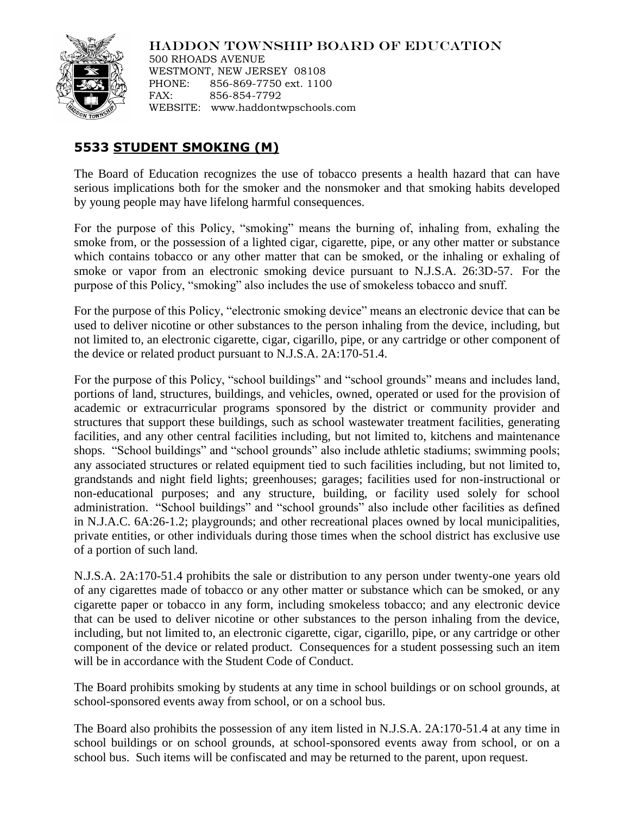

HADDON TOWNSHIP BOARD OF EDUCATION

500 RHOADS AVENUE WESTMONT, NEW JERSEY 08108 PHONE: 856-869-7750 ext. 1100 FAX: 856-854-7792 WEBSITE: www.haddontwpschools.com

## **5533 STUDENT SMOKING (M)**

The Board of Education recognizes the use of tobacco presents a health hazard that can have serious implications both for the smoker and the nonsmoker and that smoking habits developed by young people may have lifelong harmful consequences.

For the purpose of this Policy, "smoking" means the burning of, inhaling from, exhaling the smoke from, or the possession of a lighted cigar, cigarette, pipe, or any other matter or substance which contains tobacco or any other matter that can be smoked, or the inhaling or exhaling of smoke or vapor from an electronic smoking device pursuant to N.J.S.A. 26:3D-57. For the purpose of this Policy, "smoking" also includes the use of smokeless tobacco and snuff.

For the purpose of this Policy, "electronic smoking device" means an electronic device that can be used to deliver nicotine or other substances to the person inhaling from the device, including, but not limited to, an electronic cigarette, cigar, cigarillo, pipe, or any cartridge or other component of the device or related product pursuant to N.J.S.A. 2A:170-51.4.

For the purpose of this Policy, "school buildings" and "school grounds" means and includes land, portions of land, structures, buildings, and vehicles, owned, operated or used for the provision of academic or extracurricular programs sponsored by the district or community provider and structures that support these buildings, such as school wastewater treatment facilities, generating facilities, and any other central facilities including, but not limited to, kitchens and maintenance shops. "School buildings" and "school grounds" also include athletic stadiums; swimming pools; any associated structures or related equipment tied to such facilities including, but not limited to, grandstands and night field lights; greenhouses; garages; facilities used for non-instructional or non-educational purposes; and any structure, building, or facility used solely for school administration. "School buildings" and "school grounds" also include other facilities as defined in N.J.A.C. 6A:26-1.2; playgrounds; and other recreational places owned by local municipalities, private entities, or other individuals during those times when the school district has exclusive use of a portion of such land.

N.J.S.A. 2A:170-51.4 prohibits the sale or distribution to any person under twenty-one years old of any cigarettes made of tobacco or any other matter or substance which can be smoked, or any cigarette paper or tobacco in any form, including smokeless tobacco; and any electronic device that can be used to deliver nicotine or other substances to the person inhaling from the device, including, but not limited to, an electronic cigarette, cigar, cigarillo, pipe, or any cartridge or other component of the device or related product. Consequences for a student possessing such an item will be in accordance with the Student Code of Conduct.

The Board prohibits smoking by students at any time in school buildings or on school grounds, at school-sponsored events away from school, or on a school bus.

The Board also prohibits the possession of any item listed in N.J.S.A. 2A:170-51.4 at any time in school buildings or on school grounds, at school-sponsored events away from school, or on a school bus. Such items will be confiscated and may be returned to the parent, upon request.